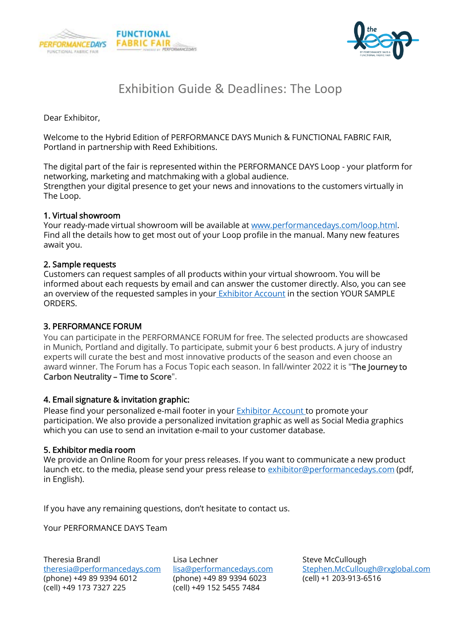



# Exhibition Guide & Deadlines: The Loop

Dear Exhibitor,

Welcome to the Hybrid Edition of PERFORMANCE DAYS Munich & FUNCTIONAL FABRIC FAIR, Portland in partnership with Reed Exhibitions.

The digital part of the fair is represented within the PERFORMANCE DAYS Loop - your platform for networking, marketing and matchmaking with a global audience. Strengthen your digital presence to get your news and innovations to the customers virtually in The Loop.

#### 1. Virtual showroom

Your ready-made virtual showroom will be available at [www.performancedays.com/loop.html](http://www.performancedays.com/loop.html). Find all the details how to get most out of your Loop profile in the manual. Many new features await you.

#### 2. Sample requests

Customers can request samples of all products within your virtual showroom. You will be informed about each requests by email and can answer the customer directly. Also, you can see an overview of the requested samples in your [Exhibitor Account](https://www.performancedays.com/exhibitor-account/exhibitor-account-login.html) in the section YOUR SAMPLE ORDERS.

### 3. PERFORMANCE FORUM

You can participate in the PERFORMANCE FORUM for free. The selected products are showcased in Munich, Portland and digitally. To participate, submit your 6 best products. A jury of industry experts will curate the best and most innovative products of the season and even choose an award winner. The Forum has a Focus Topic each season. In fall/winter 2022 it is "The Journey to Carbon Neutrality – Time to Score".

### 4. Email signature & invitation graphic:

Please find your personalized e-mail footer in your **Exhibitor Account** to promote your participation. We also provide a personalized invitation graphic as well as Social Media graphics which you can use to send an invitation e-mail to your customer database.

#### 5. Exhibitor media room

We provide an Online Room for your press releases. If you want to communicate a new product launch etc. to the media, please send your press release to [exhibitor@performancedays.com](mailto:exhibitor@performancedays.com) (pdf, in English).

If you have any remaining questions, don't hesitate to contact us.

Your PERFORMANCE DAYS Team

Theresia Brandl [theresia@performancedays.com](mailto:theresia@performancedays.com) (phone) +49 89 9394 6012 (cell) +49 173 7327 225

Lisa Lechner [lisa@performancedays.com](mailto:lisa@performancedays.com) (phone) +49 89 9394 6023 (cell) +49 152 5455 7484

Steve McCullough [Stephen.McCullough@rxglobal.com](mailto:Stephen.McCullough@rxglobal.com) (cell) +1 203-913-6516